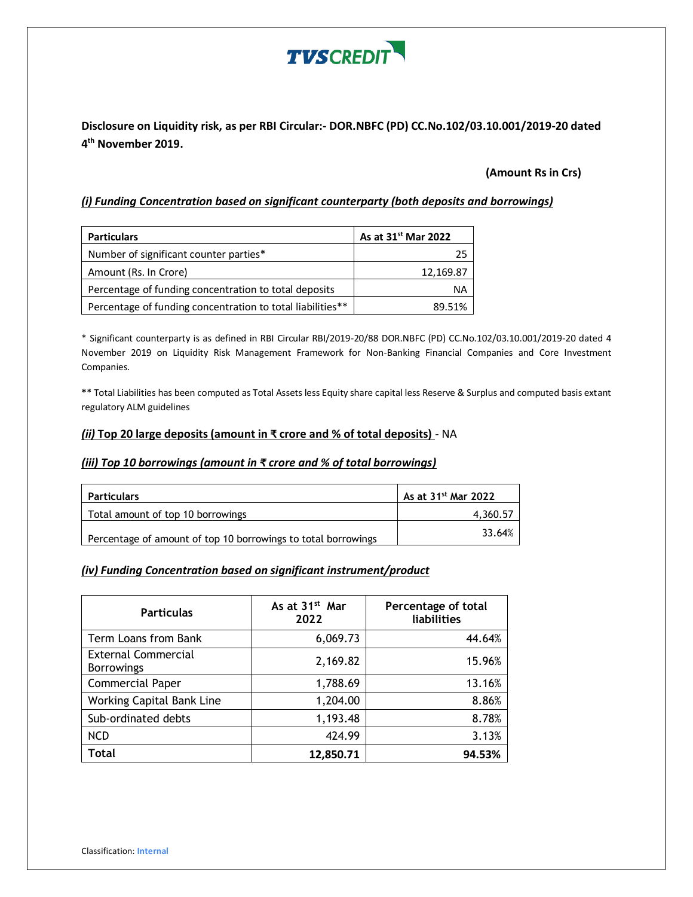

**Disclosure on Liquidity risk, as per RBI Circular:- DOR.NBFC (PD) CC.No.102/03.10.001/2019-20 dated 4 th November 2019.**

**(Amount Rs in Crs)**

# *(i) Funding Concentration based on significant counterparty (both deposits and borrowings)*

| <b>Particulars</b>                                         | As at 31 <sup>st</sup> Mar 2022 |  |
|------------------------------------------------------------|---------------------------------|--|
| Number of significant counter parties*                     | 25                              |  |
| Amount (Rs. In Crore)                                      | 12,169.87                       |  |
| Percentage of funding concentration to total deposits      | ΝA                              |  |
| Percentage of funding concentration to total liabilities** | 89.51%                          |  |

\* Significant counterparty is as defined in RBI Circular RBI/2019-20/88 DOR.NBFC (PD) CC.No.102/03.10.001/2019-20 dated 4 November 2019 on Liquidity Risk Management Framework for Non-Banking Financial Companies and Core Investment Companies.

**\***\* Total Liabilities has been computed as Total Assets less Equity share capital less Reserve & Surplus and computed basis extant regulatory ALM guidelines

# *(ii)* **Top 20 large deposits (amount in ₹ crore and % of total deposits)** - NA

### *(iii) Top 10 borrowings (amount in ₹ crore and % of total borrowings)*

| <b>Particulars</b>                                            | As at $31st$ Mar 2022 |
|---------------------------------------------------------------|-----------------------|
| Total amount of top 10 borrowings                             | 4,360.57              |
| Percentage of amount of top 10 borrowings to total borrowings | 33.64%                |

# *(iv) Funding Concentration based on significant instrument/product*

| <b>Particulas</b>                               | As at 31 <sup>st</sup> Mar<br>2022 | Percentage of total<br><b>liabilities</b> |  |
|-------------------------------------------------|------------------------------------|-------------------------------------------|--|
| Term Loans from Bank                            | 6,069.73                           | 44.64%                                    |  |
| <b>External Commercial</b><br><b>Borrowings</b> | 2,169.82                           | 15.96%                                    |  |
| <b>Commercial Paper</b>                         | 1,788.69                           | 13.16%                                    |  |
| <b>Working Capital Bank Line</b>                | 1,204.00                           | 8.86%                                     |  |
| Sub-ordinated debts                             | 1,193.48                           | 8.78%                                     |  |
| <b>NCD</b>                                      | 424.99                             | 3.13%                                     |  |
| <b>Total</b>                                    | 12,850.71                          | 94.53%                                    |  |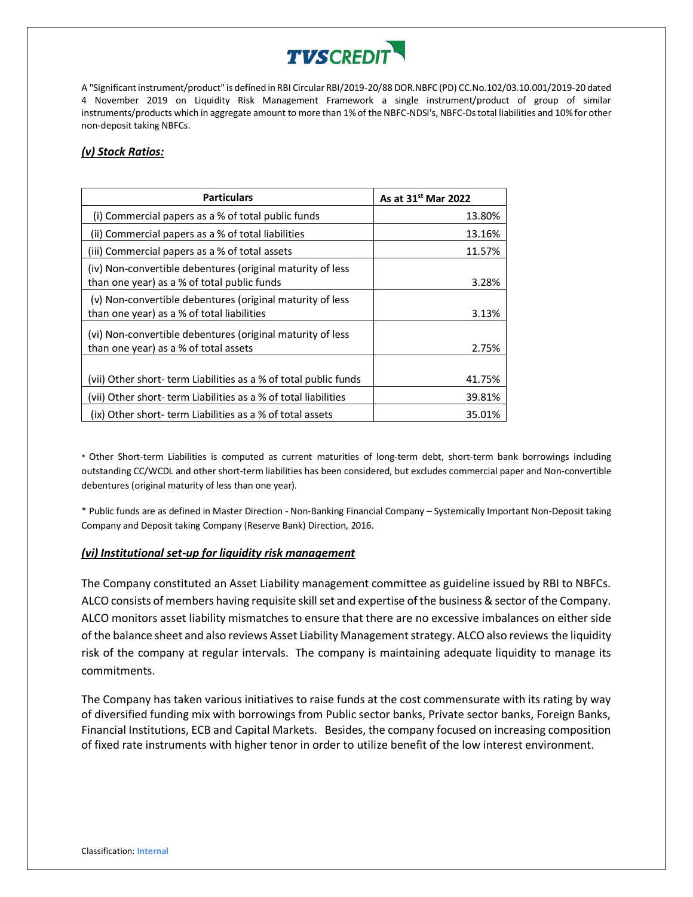

A "Significant instrument/product" is defined in RBI Circular RBI/2019-20/88 DOR.NBFC (PD) CC.No.102/03.10.001/2019-20 dated 4 November 2019 on Liquidity Risk Management Framework a single instrument/product of group of similar instruments/products which in aggregate amount to more than 1% of the NBFC-NDSI's, NBFC-Ds total liabilities and 10% for other non-deposit taking NBFCs.

# *(v) Stock Ratios:*

| <b>Particulars</b>                                                                                        | As at 31 <sup>st</sup> Mar 2022 |  |
|-----------------------------------------------------------------------------------------------------------|---------------------------------|--|
| (i) Commercial papers as a % of total public funds                                                        | 13.80%                          |  |
| (ii) Commercial papers as a % of total liabilities                                                        | 13.16%                          |  |
| (iii) Commercial papers as a % of total assets                                                            | 11.57%                          |  |
| (iv) Non-convertible debentures (original maturity of less<br>than one year) as a % of total public funds | 3.28%                           |  |
| (v) Non-convertible debentures (original maturity of less<br>than one year) as a % of total liabilities   | 3.13%                           |  |
| (vi) Non-convertible debentures (original maturity of less<br>than one year) as a % of total assets       | 2.75%                           |  |
| (vii) Other short-term Liabilities as a % of total public funds                                           | 41.75%                          |  |
| (vii) Other short-term Liabilities as a % of total liabilities                                            | 39.81%                          |  |
| (ix) Other short- term Liabilities as a % of total assets                                                 | 35.01%                          |  |

\* Other Short-term Liabilities is computed as current maturities of long-term debt, short-term bank borrowings including outstanding CC/WCDL and other short-term liabilities has been considered, but excludes commercial paper and Non-convertible debentures (original maturity of less than one year).

\* Public funds are as defined in Master Direction - Non-Banking Financial Company – Systemically Important Non-Deposit taking Company and Deposit taking Company (Reserve Bank) Direction, 2016.

### *(vi) Institutional set-up for liquidity risk management*

The Company constituted an Asset Liability management committee as guideline issued by RBI to NBFCs. ALCO consists of members having requisite skill set and expertise of the business & sector of the Company. ALCO monitors asset liability mismatches to ensure that there are no excessive imbalances on either side of the balance sheet and also reviews Asset Liability Management strategy. ALCO also reviews the liquidity risk of the company at regular intervals. The company is maintaining adequate liquidity to manage its commitments.

The Company has taken various initiatives to raise funds at the cost commensurate with its rating by way of diversified funding mix with borrowings from Public sector banks, Private sector banks, Foreign Banks, Financial Institutions, ECB and Capital Markets. Besides, the company focused on increasing composition of fixed rate instruments with higher tenor in order to utilize benefit of the low interest environment.